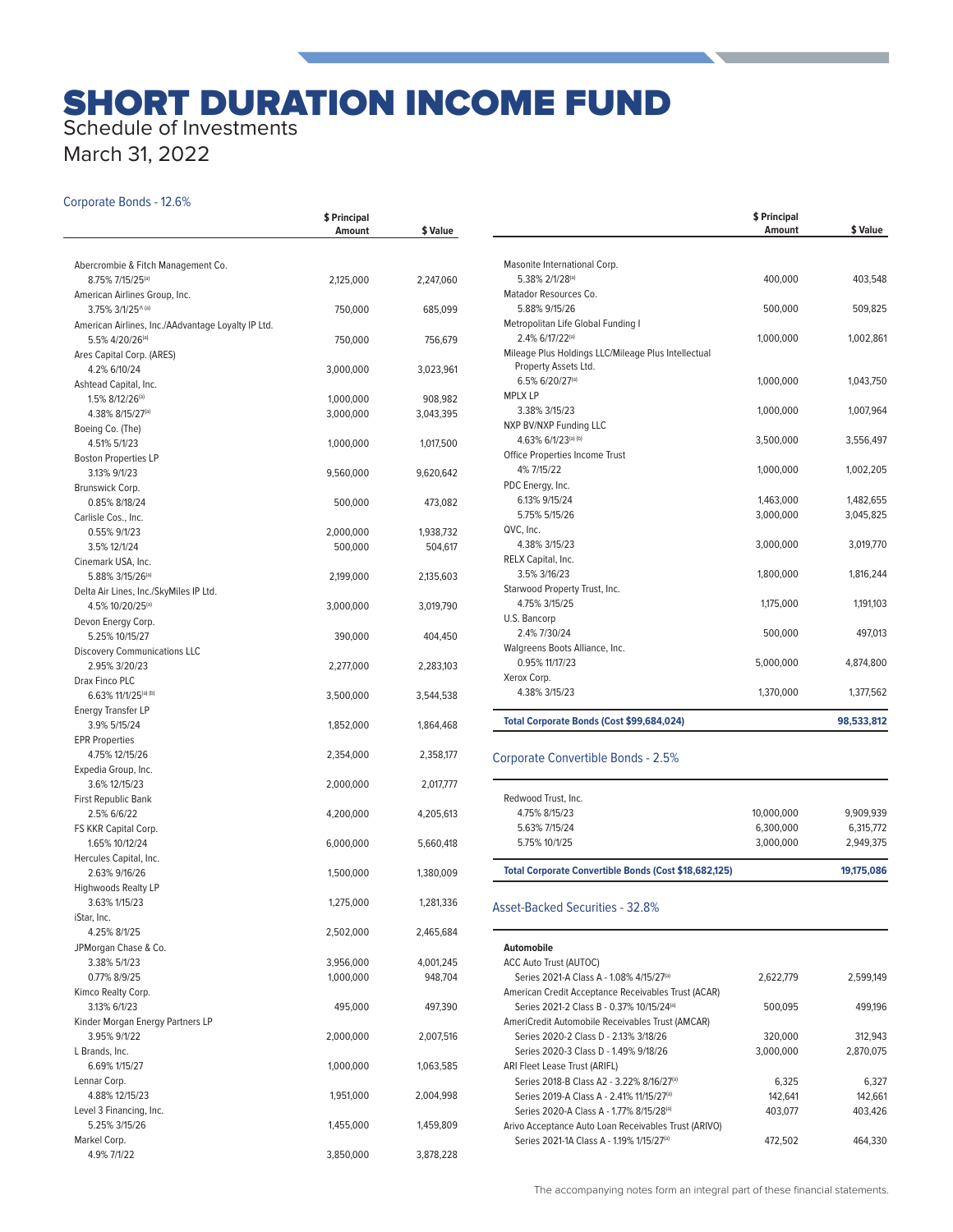# SHORT DURATION INCOME FUND

# Schedule of Investments

March 31, 2022

#### Corporate Bonds - 12.6%

|                                                        | \$ Principal |                      |
|--------------------------------------------------------|--------------|----------------------|
|                                                        | Amount       | \$ Value             |
|                                                        |              |                      |
| Abercrombie & Fitch Management Co.<br>8.75% 7/15/25(a) | 2,125,000    | 2,247,060            |
| American Airlines Group, Inc.                          |              |                      |
| 3.75% 3/1/25^(a)                                       | 750,000      | 685,099              |
| American Airlines, Inc./AAdvantage Loyalty IP Ltd.     |              |                      |
| 5.5% 4/20/26 <sup>(a)</sup>                            | 750,000      | 756,679              |
| Ares Capital Corp. (ARES)                              |              |                      |
| 4.2% 6/10/24                                           | 3,000,000    | 3,023,961            |
| Ashtead Capital, Inc.                                  |              |                      |
| 1.5% 8/12/26 <sup>(a)</sup><br>4.38% 8/15/27(a)        | 1,000,000    | 908,982<br>3,043,395 |
| Boeing Co. (The)                                       | 3,000,000    |                      |
| 4.51% 5/1/23                                           | 1,000,000    | 1,017,500            |
| <b>Boston Properties LP</b>                            |              |                      |
| 3.13% 9/1/23                                           | 9,560,000    | 9,620,642            |
| Brunswick Corp.                                        |              |                      |
| 0.85% 8/18/24                                          | 500,000      | 473,082              |
| Carlisle Cos., Inc.                                    |              |                      |
| 0.55% 9/1/23                                           | 2,000,000    | 1,938,732            |
| 3.5% 12/1/24                                           | 500,000      | 504,617              |
| Cinemark USA, Inc.<br>5.88% 3/15/26(a)                 | 2,199,000    | 2,135,603            |
| Delta Air Lines, Inc./SkyMiles IP Ltd.                 |              |                      |
| 4.5% 10/20/25(a)                                       | 3,000,000    | 3,019,790            |
| Devon Energy Corp.                                     |              |                      |
| 5.25% 10/15/27                                         | 390,000      | 404,450              |
| <b>Discovery Communications LLC</b>                    |              |                      |
| 2.95% 3/20/23                                          | 2,277,000    | 2,283,103            |
| Drax Finco PLC                                         |              |                      |
| 6.63% 11/1/25(a) (b)                                   | 3,500,000    | 3,544,538            |
| <b>Energy Transfer LP</b><br>3.9% 5/15/24              | 1,852,000    | 1,864,468            |
| <b>EPR Properties</b>                                  |              |                      |
| 4.75% 12/15/26                                         | 2,354,000    | 2,358,177            |
| Expedia Group, Inc.                                    |              |                      |
| 3.6% 12/15/23                                          | 2,000,000    | 2,017,777            |
| First Republic Bank                                    |              |                      |
| 2.5% 6/6/22                                            | 4,200,000    | 4,205,613            |
| FS KKR Capital Corp.                                   |              |                      |
| 1.65% 10/12/24                                         | 6,000,000    | 5,660,418            |
| Hercules Capital, Inc.<br>2.63% 9/16/26                | 1,500,000    | 1,380,009            |
| <b>Highwoods Realty LP</b>                             |              |                      |
| 3.63% 1/15/23                                          | 1,275,000    | 1.281.336            |
| iStar, Inc.                                            |              |                      |
| 4.25% 8/1/25                                           | 2,502,000    | 2,465,684            |
| JPMorgan Chase & Co.                                   |              |                      |
| 3.38% 5/1/23                                           | 3,956,000    | 4,001,245            |
| 0.77% 8/9/25                                           | 1,000,000    | 948,704              |
| Kimco Realty Corp.                                     |              |                      |
| 3.13% 6/1/23<br>Kinder Morgan Energy Partners LP       | 495,000      | 497,390              |
| 3.95% 9/1/22                                           | 2,000,000    | 2,007,516            |
| L Brands, Inc.                                         |              |                      |
| 6.69% 1/15/27                                          | 1,000,000    | 1,063,585            |
| Lennar Corp.                                           |              |                      |
| 4.88% 12/15/23                                         | 1,951,000    | 2,004,998            |
| Level 3 Financing, Inc.                                |              |                      |
| 5.25% 3/15/26                                          | 1,455,000    | 1,459,809            |
| Markel Corp.                                           |              |                      |
| 4.9% 7/1/22                                            | 3,850,000    | 3,878,228            |

|                                                                             | \$ Principal<br>Amount | \$ Value   |
|-----------------------------------------------------------------------------|------------------------|------------|
|                                                                             |                        |            |
| Masonite International Corp.                                                |                        |            |
| 5.38% 2/1/28(a)                                                             | 400,000                | 403,548    |
| Matador Resources Co.                                                       |                        |            |
| 5.88% 9/15/26                                                               | 500,000                | 509,825    |
| Metropolitan Life Global Funding I                                          |                        |            |
| 2.4% 6/17/22(a)                                                             | 1,000,000              | 1,002,861  |
| Mileage Plus Holdings LLC/Mileage Plus Intellectual<br>Property Assets Ltd. |                        |            |
| 6.5% 6/20/27 <sup>(a)</sup>                                                 | 1,000,000              | 1,043,750  |
| <b>MPLX LP</b>                                                              |                        |            |
| 3.38% 3/15/23                                                               | 1,000,000              | 1,007,964  |
| NXP BV/NXP Funding LLC                                                      |                        |            |
| 4.63% 6/1/23(a) (b)                                                         | 3,500,000              | 3,556,497  |
| Office Properties Income Trust                                              |                        |            |
| 4% 7/15/22                                                                  | 1,000,000              | 1,002,205  |
| PDC Energy, Inc.                                                            |                        |            |
| 6.13% 9/15/24                                                               | 1,463,000              | 1,482,655  |
| 5.75% 5/15/26                                                               | 3,000,000              | 3,045,825  |
| QVC, Inc.                                                                   |                        |            |
| 4.38% 3/15/23                                                               | 3,000,000              | 3,019,770  |
| RELX Capital, Inc.                                                          |                        |            |
| 3.5% 3/16/23                                                                | 1,800,000              | 1,816,244  |
| Starwood Property Trust, Inc.                                               |                        |            |
| 4.75% 3/15/25                                                               | 1,175,000              | 1,191,103  |
| U.S. Bancorp                                                                |                        |            |
| 2.4% 7/30/24                                                                | 500,000                | 497,013    |
| Walgreens Boots Alliance, Inc.                                              |                        |            |
| 0.95% 11/17/23                                                              | 5,000,000              | 4,874,800  |
| Xerox Corp.                                                                 |                        |            |
| 4.38% 3/15/23                                                               | 1,370,000              | 1,377,562  |
| Total Corporate Bonds (Cost \$99,684,024)                                   |                        | 98,533,812 |

#### Corporate Convertible Bonds - 2.5%

| 6.300.000<br>6.315.772<br>3.000.000<br>2.949.375 |
|--------------------------------------------------|
|                                                  |
|                                                  |
| 9.909.939<br>10.000.000                          |
|                                                  |
|                                                  |

#### Asset-Backed Securities - 32.8%

| <b>Automobile</b>                                     |           |           |
|-------------------------------------------------------|-----------|-----------|
| <b>ACC Auto Trust (AUTOC)</b>                         |           |           |
| Series 2021-A Class A - 1.08% 4/15/27(a)              | 2.622.779 | 2.599.149 |
| American Credit Acceptance Receivables Trust (ACAR)   |           |           |
| Series 2021-2 Class B - 0.37% 10/15/24(a)             | 500.095   | 499.196   |
| AmeriCredit Automobile Receivables Trust (AMCAR)      |           |           |
| Series 2020-2 Class D - 213% 3/18/26                  | 320,000   | 312,943   |
| Series 2020-3 Class D - 1.49% 9/18/26                 | 3.000.000 | 2,870,075 |
| ARI Fleet Lease Trust (ARIFL)                         |           |           |
| Series 2018-B Class A2 - 3.22% 8/16/27(a)             | 6.325     | 6.327     |
| Series 2019-A Class A - 2.41% 11/15/27(a)             | 142.641   | 142.661   |
| Series 2020-A Class A - 1.77% 8/15/28(a)              | 403.077   | 403.426   |
| Arivo Acceptance Auto Loan Receivables Trust (ARIVO)  |           |           |
| Series 2021-1A Class A - 1.19% 1/15/27 <sup>(a)</sup> | 472.502   | 464.330   |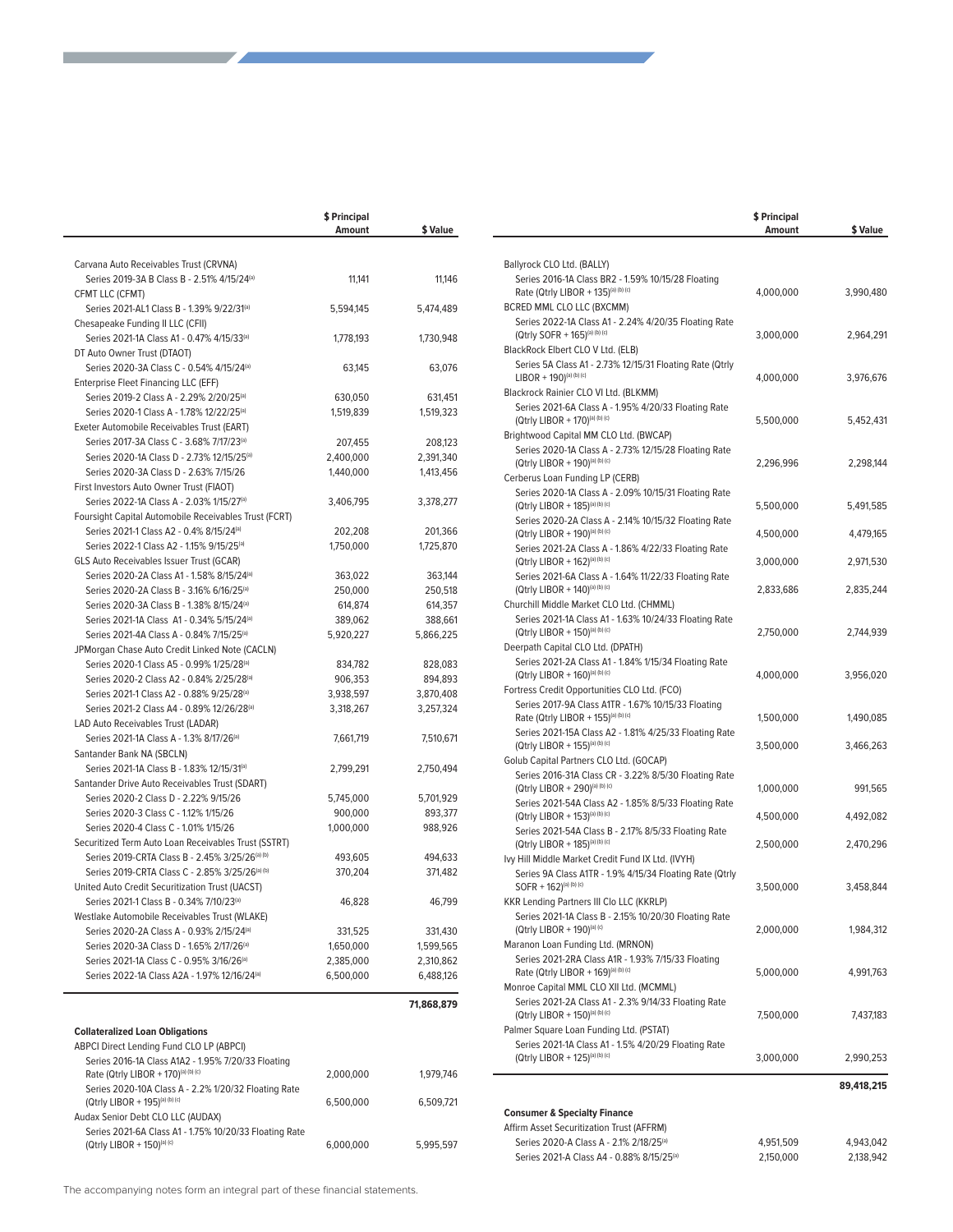|                                                                                                         | \$ Principal<br>Amount | \$ Value   |
|---------------------------------------------------------------------------------------------------------|------------------------|------------|
|                                                                                                         |                        |            |
| Carvana Auto Receivables Trust (CRVNA)                                                                  |                        |            |
| Series 2019-3A B Class B - 2.51% 4/15/24(a)                                                             | 11,141                 | 11,146     |
| CFMT LLC (CFMT)                                                                                         |                        |            |
| Series 2021-AL1 Class B - 1.39% 9/22/31 <sup>(a)</sup>                                                  | 5,594,145              | 5,474,489  |
| Chesapeake Funding II LLC (CFII)                                                                        |                        |            |
| Series 2021-1A Class A1 - 0.47% 4/15/33 <sup>(a)</sup>                                                  | 1,778,193              | 1,730,948  |
| DT Auto Owner Trust (DTAOT)<br>Series 2020-3A Class C - 0.54% 4/15/24(a)                                | 63,145                 | 63,076     |
| Enterprise Fleet Financing LLC (EFF)                                                                    |                        |            |
| Series 2019-2 Class A - 2.29% 2/20/25 <sup>(a)</sup>                                                    | 630,050                | 631,451    |
| Series 2020-1 Class A - 1.78% 12/22/25(a)                                                               | 1,519,839              | 1,519,323  |
| Exeter Automobile Receivables Trust (EART)                                                              |                        |            |
| Series 2017-3A Class C - 3.68% 7/17/23 <sup>(a)</sup>                                                   | 207,455                | 208,123    |
| Series 2020-1A Class D - 2.73% 12/15/25(a)                                                              | 2,400,000              | 2,391,340  |
| Series 2020-3A Class D - 2.63% 7/15/26                                                                  | 1,440,000              | 1,413,456  |
| First Investors Auto Owner Trust (FIAOT)                                                                |                        |            |
| Series 2022-1A Class A - 2.03% 1/15/27(a)                                                               | 3,406,795              | 3,378,277  |
| Foursight Capital Automobile Receivables Trust (FCRT)                                                   |                        |            |
| Series 2021-1 Class A2 - 0.4% 8/15/24(a)                                                                | 202,208                | 201,366    |
| Series 2022-1 Class A2 - 1.15% 9/15/25(a)                                                               | 1,750,000              | 1,725,870  |
| GLS Auto Receivables Issuer Trust (GCAR)                                                                |                        |            |
| Series 2020-2A Class A1 - 1.58% 8/15/24(a)                                                              | 363,022                | 363,144    |
| Series 2020-2A Class B - 3.16% 6/16/25 <sup>(a)</sup>                                                   | 250,000                | 250,518    |
| Series 2020-3A Class B - 1.38% 8/15/24(a)                                                               | 614,874                | 614,357    |
| Series 2021-1A Class A1 - 0.34% 5/15/24 <sup>(a)</sup>                                                  | 389,062                | 388,661    |
| Series 2021-4A Class A - 0.84% 7/15/25(a)                                                               | 5,920,227              | 5,866,225  |
| JPMorgan Chase Auto Credit Linked Note (CACLN)                                                          |                        |            |
| Series 2020-1 Class A5 - 0.99% 1/25/28(a)                                                               | 834,782                | 828,083    |
| Series 2020-2 Class A2 - 0.84% 2/25/28(a)                                                               | 906,353                | 894,893    |
| Series 2021-1 Class A2 - 0.88% 9/25/28 <sup>(a)</sup>                                                   | 3,938,597              | 3,870,408  |
| Series 2021-2 Class A4 - 0.89% 12/26/28(a)                                                              | 3,318,267              | 3,257,324  |
| LAD Auto Receivables Trust (LADAR)                                                                      |                        |            |
| Series 2021-1A Class A - 1.3% 8/17/26 <sup>(a)</sup>                                                    | 7,661,719              | 7,510,671  |
| Santander Bank NA (SBCLN)                                                                               |                        |            |
| Series 2021-1A Class B - 1.83% 12/15/31 <sup>(a)</sup>                                                  | 2,799,291              | 2,750,494  |
| Santander Drive Auto Receivables Trust (SDART)                                                          |                        |            |
| Series 2020-2 Class D - 2.22% 9/15/26                                                                   | 5,745,000              | 5,701,929  |
| Series 2020-3 Class C - 1.12% 1/15/26<br>Series 2020-4 Class C - 1.01% 1/15/26                          | 900,000<br>1,000,000   | 893,377    |
|                                                                                                         |                        | 988,926    |
| Securitized Term Auto Loan Receivables Trust (SSTRT)<br>Series 2019-CRTA Class B - 2.45% 3/25/26(a) (b) | 493,605                | 494,633    |
| Series 2019-CRTA Class C - 2.85% 3/25/26 <sup>(a) (b)</sup>                                             | 370,204                | 371,482    |
| United Auto Credit Securitization Trust (UACST)                                                         |                        |            |
| Series 2021-1 Class B - 0.34% 7/10/23(a)                                                                | 46,828                 | 46,799     |
| Westlake Automobile Receivables Trust (WLAKE)                                                           |                        |            |
| Series 2020-2A Class A - 0.93% 2/15/24(a)                                                               | 331,525                | 331,430    |
| Series 2020-3A Class D - 1.65% 2/17/26 <sup>(a)</sup>                                                   | 1,650,000              | 1,599,565  |
| Series 2021-1A Class C - 0.95% 3/16/26(a)                                                               | 2,385,000              | 2,310,862  |
| Series 2022-1A Class A2A - 1.97% 12/16/24(a)                                                            | 6,500,000              | 6,488,126  |
|                                                                                                         |                        |            |
|                                                                                                         |                        | 71,868,879 |
|                                                                                                         |                        |            |
| <b>Collateralized Loan Obligations</b>                                                                  |                        |            |
| ABPCI Direct Lending Fund CLO LP (ABPCI)                                                                |                        |            |
| Series 2016-1A Class A1A2 - 1.95% 7/20/33 Floating<br>Rate (Qtrly LIBOR + 170)(a) (b) (c)               | 2,000,000              | 1,979,746  |
| Series 2020-10A Class A - 2.2% 1/20/32 Floating Rate                                                    |                        |            |
| (Qtrly LIBOR + 195)(a) (b) (c)                                                                          | 6,500,000              | 6,509,721  |
| Audax Senior Debt CLO LLC (AUDAX)                                                                       |                        |            |
| Series 2021-6A Class A1 - 1.75% 10/20/33 Floating Rate                                                  |                        |            |
| (Qtrly LIBOR + 150) <sup>(a)</sup> (c)                                                                  | 6,000,000              | 5,995,597  |
|                                                                                                         |                        |            |

**Contract** 

the contract of the contract of the

|                                                                                                                                   | \$ Principal<br>Amount | \$ Value   |
|-----------------------------------------------------------------------------------------------------------------------------------|------------------------|------------|
|                                                                                                                                   |                        |            |
| Ballyrock CLO Ltd. (BALLY)<br>Series 2016-1A Class BR2 - 1.59% 10/15/28 Floating<br>Rate (Qtrly LIBOR + 135)(a) (b) (c)           | 4,000,000              | 3,990,480  |
| BCRED MML CLO LLC (BXCMM)                                                                                                         |                        |            |
| Series 2022-1A Class A1 - 2.24% 4/20/35 Floating Rate<br>(Qtrly SOFR + 165)(a) (b) (c)<br>BlackRock Elbert CLO V Ltd. (ELB)       | 3,000,000              | 2,964,291  |
| Series 5A Class A1 - 2.73% 12/15/31 Floating Rate (Qtrly<br>$LIBOR + 190)^{(a)(b)(c)}$<br>Blackrock Rainier CLO VI Ltd. (BLKMM)   | 4,000,000              | 3,976,676  |
| Series 2021-6A Class A - 1.95% 4/20/33 Floating Rate<br>(Qtrly LIBOR + 170)(a) (b) (c)                                            | 5,500,000              | 5,452,431  |
| Brightwood Capital MM CLO Ltd. (BWCAP)<br>Series 2020-1A Class A - 2.73% 12/15/28 Floating Rate<br>(Qtrly LIBOR + 190)(a) (b) (c) | 2,296,996              | 2,298,144  |
| Cerberus Loan Funding LP (CERB)                                                                                                   |                        |            |
| Series 2020-1A Class A - 2.09% 10/15/31 Floating Rate<br>(Qtrly LIBOR + 185)(a) (b) (c)                                           | 5,500,000              | 5,491,585  |
| Series 2020-2A Class A - 2.14% 10/15/32 Floating Rate<br>(Qtrly LIBOR + 190)(a) (b) (c)                                           | 4,500,000              | 4,479,165  |
| Series 2021-2A Class A - 1.86% 4/22/33 Floating Rate<br>(Qtrly LIBOR + 162)(a) (b) (c)                                            | 3,000,000              | 2,971,530  |
| Series 2021-6A Class A - 1.64% 11/22/33 Floating Rate                                                                             |                        |            |
| (Qtrly LIBOR + 140)(a) (b) (c)<br>Churchill Middle Market CLO Ltd. (CHMML)                                                        | 2,833,686              | 2,835,244  |
| Series 2021-1A Class A1 - 1.63% 10/24/33 Floating Rate<br>(Qtrly LIBOR + 150)(a) (b) (c)                                          | 2,750,000              | 2,744,939  |
| Deerpath Capital CLO Ltd. (DPATH)                                                                                                 |                        |            |
| Series 2021-2A Class A1 - 1.84% 1/15/34 Floating Rate<br>(Qtrly LIBOR + 160)(a) (b) (c)                                           | 4,000,000              | 3,956,020  |
| Fortress Credit Opportunities CLO Ltd. (FCO)                                                                                      |                        |            |
| Series 2017-9A Class A1TR - 1.67% 10/15/33 Floating<br>Rate (Qtrly LIBOR + 155)(a) (b) (c)                                        | 1,500,000              | 1,490,085  |
| Series 2021-15A Class A2 - 1.81% 4/25/33 Floating Rate<br>(Qtrly LIBOR + 155)(a) (b) (c)                                          | 3,500,000              | 3,466,263  |
| Golub Capital Partners CLO Ltd. (GOCAP)                                                                                           |                        |            |
| Series 2016-31A Class CR - 3.22% 8/5/30 Floating Rate<br>(Qtrly LIBOR + 290)(a) (b) (c)                                           | 1,000,000              | 991,565    |
| Series 2021-54A Class A2 - 1.85% 8/5/33 Floating Rate<br>(Qtrly LIBOR + 153)(a) (b) (c)                                           | 4,500,000              | 4,492,082  |
| Series 2021-54A Class B - 2.17% 8/5/33 Floating Rate<br>(Qtrly LIBOR + 185)(a) (b) (c)                                            | 2,500,000              | 2,470,296  |
| Ivy Hill Middle Market Credit Fund IX Ltd. (IVYH)                                                                                 |                        |            |
| Series 9A Class A1TR - 1.9% 4/15/34 Floating Rate (Qtrly<br>SOFR + 162)(a) (b) (c)                                                | 3,500,000              | 3,458,844  |
| KKR Lending Partners III Clo LLC (KKRLP)<br>Series 2021-1A Class B - 2.15% 10/20/30 Floating Rate                                 |                        |            |
| (Qtrly LIBOR + 190)(a) (c)                                                                                                        | 2,000,000              | 1,984,312  |
| Maranon Loan Funding Ltd. (MRNON)<br>Series 2021-2RA Class A1R - 1.93% 7/15/33 Floating                                           |                        |            |
| Rate (Qtrly LIBOR + 169)(a) (b) (c)                                                                                               | 5,000,000              | 4,991,763  |
| Monroe Capital MML CLO XII Ltd. (MCMML)<br>Series 2021-2A Class A1 - 2.3% 9/14/33 Floating Rate                                   |                        |            |
| (Qtrly LIBOR + 150)(a) (b) (c)                                                                                                    | 7,500,000              | 7,437,183  |
| Palmer Square Loan Funding Ltd. (PSTAT)<br>Series 2021-1A Class A1 - 1.5% 4/20/29 Floating Rate                                   |                        |            |
| (Qtrly LIBOR + 125)(a) (b) (c)                                                                                                    | 3,000,000              | 2,990,253  |
|                                                                                                                                   |                        | 89,418,215 |
| <b>Consumer &amp; Specialty Finance</b>                                                                                           |                        |            |
| Affirm Asset Securitization Trust (AFFRM)                                                                                         |                        |            |
| Series 2020-A Class A - 2.1% 2/18/25(a)                                                                                           | 4,951,509              | 4,943,042  |
| Series 2021-A Class A4 - 0.88% 8/15/25(a)                                                                                         | 2,150,000              | 2,138,942  |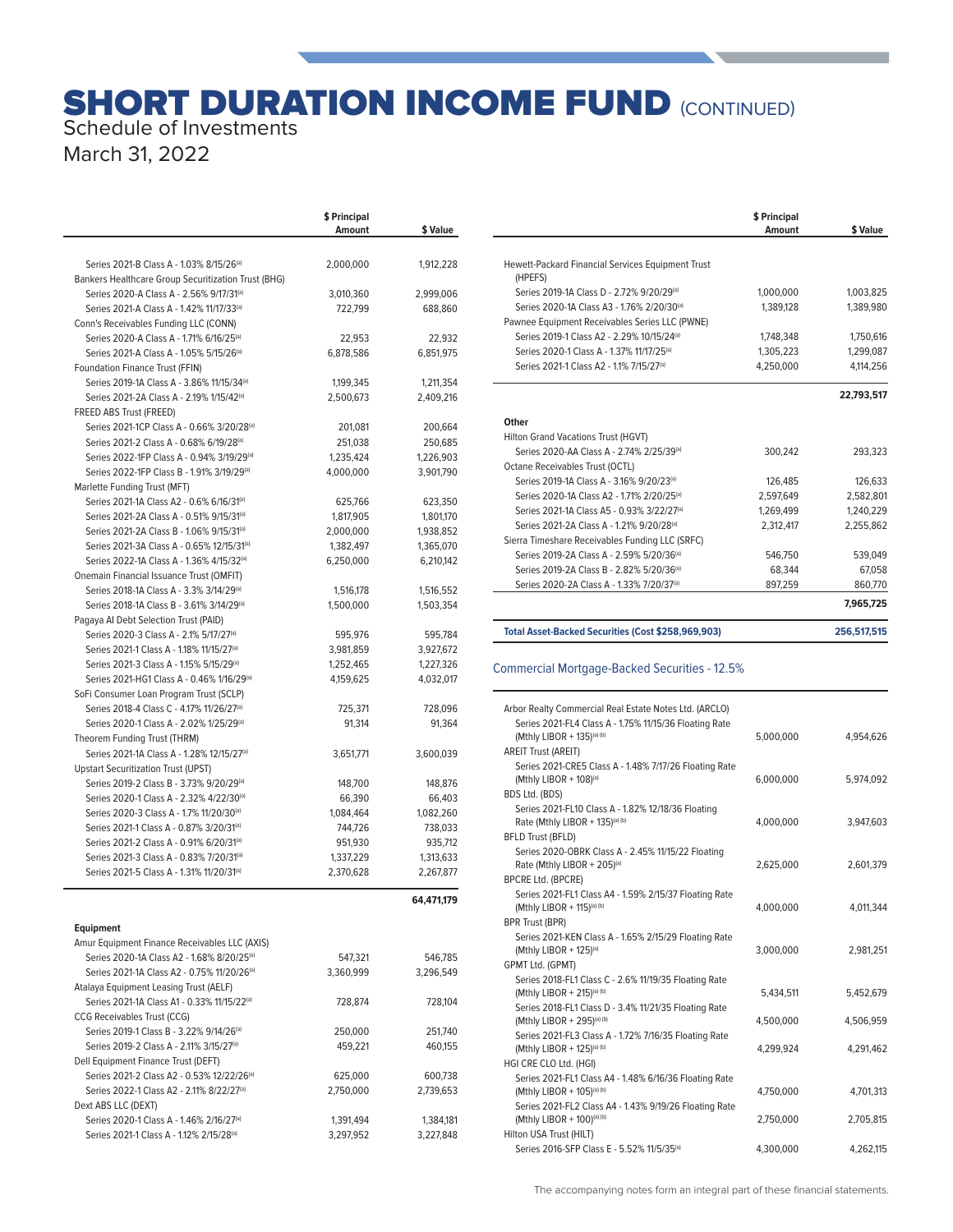## **SHORT DURATION INCOME FUND (CONTINUED)** Schedule of Investments

March 31, 2022

|                                                                                         | \$ Principal<br>Amount | \$ Value               |
|-----------------------------------------------------------------------------------------|------------------------|------------------------|
|                                                                                         |                        |                        |
| Series 2021-B Class A - 1.03% 8/15/26 <sup>(a)</sup>                                    | 2,000,000              | 1,912,228              |
| Bankers Healthcare Group Securitization Trust (BHG)                                     |                        |                        |
| Series 2020-A Class A - 2.56% 9/17/31(a)                                                | 3,010,360              | 2,999,006              |
| Series 2021-A Class A - 1.42% 11/17/33(a)                                               | 722,799                | 688,860                |
| Conn's Receivables Funding LLC (CONN)                                                   |                        |                        |
| Series 2020-A Class A - 1.71% 6/16/25 <sup>(a)</sup>                                    | 22,953                 | 22,932                 |
| Series 2021-A Class A - 1.05% 5/15/26 <sup>(a)</sup><br>Foundation Finance Trust (FFIN) | 6,878,586              | 6,851,975              |
| Series 2019-1A Class A - 3.86% 11/15/34(a)                                              | 1,199,345              | 1,211,354              |
| Series 2021-2A Class A - 2.19% 1/15/42(a)                                               | 2,500,673              | 2,409,216              |
| FREED ABS Trust (FREED)                                                                 |                        |                        |
| Series 2021-1CP Class A - 0.66% 3/20/28(a)                                              | 201,081                | 200,664                |
| Series 2021-2 Class A - 0.68% 6/19/28 <sup>(a)</sup>                                    | 251,038                | 250,685                |
| Series 2022-1FP Class A - 0.94% 3/19/29(a)                                              | 1,235,424              | 1,226,903              |
| Series 2022-1FP Class B - 1.91% 3/19/29(a)                                              | 4,000,000              | 3,901,790              |
| Marlette Funding Trust (MFT)                                                            |                        |                        |
| Series 2021-1A Class A2 - 0.6% 6/16/31 <sup>(a)</sup>                                   | 625,766                | 623,350                |
| Series 2021-2A Class A - 0.51% 9/15/31 <sup>(a)</sup>                                   | 1,817,905              | 1,801,170              |
| Series 2021-2A Class B - 1.06% 9/15/31(a)                                               | 2,000,000              | 1,938,852              |
| Series 2021-3A Class A - 0.65% 12/15/31(a)                                              | 1,382,497              | 1,365,070              |
| Series 2022-1A Class A - 1.36% 4/15/32(a)                                               | 6,250,000              | 6,210,142              |
| Onemain Financial Issuance Trust (OMFIT)<br>Series 2018-1A Class A - 3.3% 3/14/29(a)    |                        | 1,516,552              |
| Series 2018-1A Class B - 3.61% 3/14/29(a)                                               | 1,516,178<br>1,500,000 | 1,503,354              |
| Pagaya Al Debt Selection Trust (PAID)                                                   |                        |                        |
| Series 2020-3 Class A - 2.1% 5/17/27(a)                                                 | 595,976                | 595,784                |
| Series 2021-1 Class A - 1.18% 11/15/27(a)                                               | 3,981,859              | 3,927,672              |
| Series 2021-3 Class A - 1.15% 5/15/29(a)                                                | 1,252,465              | 1,227,326              |
| Series 2021-HG1 Class A - 0.46% 1/16/29 <sup>(a)</sup>                                  | 4,159,625              | 4,032,017              |
| SoFi Consumer Loan Program Trust (SCLP)                                                 |                        |                        |
| Series 2018-4 Class C - 4.17% 11/26/27(a)                                               | 725,371                | 728,096                |
| Series 2020-1 Class A - 2.02% 1/25/29 <sup>(a)</sup>                                    | 91,314                 | 91,364                 |
| Theorem Funding Trust (THRM)                                                            |                        |                        |
| Series 2021-1A Class A - 1.28% 12/15/27(a)                                              | 3,651,771              | 3,600,039              |
| <b>Upstart Securitization Trust (UPST)</b>                                              |                        |                        |
| Series 2019-2 Class B - 3.73% 9/20/29(a)<br>Series 2020-1 Class A - 2.32% 4/22/30(a)    | 148,700<br>66,390      | 148,876<br>66,403      |
| Series 2020-3 Class A - 1.7% 11/20/30(a)                                                | 1,084,464              | 1,082,260              |
| Series 2021-1 Class A - 0.87% 3/20/31(a)                                                | 744,726                | 738,033                |
| Series 2021-2 Class A - 0.91% 6/20/31(a)                                                | 951.930                | 935,712                |
| Series 2021-3 Class A - 0.83% 7/20/31(a)                                                | 1,337,229              | 1,313,633              |
| Series 2021-5 Class A - 1.31% 11/20/31(a)                                               | 2,370,628              | 2,267,877              |
|                                                                                         |                        |                        |
|                                                                                         |                        | 64,471,179             |
| <b>Equipment</b>                                                                        |                        |                        |
| Amur Equipment Finance Receivables LLC (AXIS)                                           |                        |                        |
| Series 2020-1A Class A2 - 1.68% 8/20/25 <sup>(a)</sup>                                  | 547,321                | 546.785                |
| Series 2021-1A Class A2 - 0.75% 11/20/26(a)                                             | 3,360,999              | 3,296,549              |
| Atalaya Equipment Leasing Trust (AELF)                                                  |                        |                        |
| Series 2021-1A Class A1 - 0.33% 11/15/22(a)                                             | 728,874                | 728,104                |
| CCG Receivables Trust (CCG)                                                             |                        |                        |
| Series 2019-1 Class B - 3.22% 9/14/26 <sup>(a)</sup>                                    | 250,000                | 251,740                |
| Series 2019-2 Class A - 2.11% 3/15/27(a)                                                | 459,221                | 460,155                |
| Dell Equipment Finance Trust (DEFT)                                                     |                        |                        |
| Series 2021-2 Class A2 - 0.53% 12/22/26 <sup>(a)</sup>                                  | 625,000                | 600,738                |
| Series 2022-1 Class A2 - 2.11% 8/22/27(a)                                               | 2,750,000              | 2,739,653              |
| Dext ABS LLC (DEXT)                                                                     |                        |                        |
| Series 2020-1 Class A - 1.46% 2/16/27(a)<br>Series 2021-1 Class A - 1.12% 2/15/28(a)    | 1,391,494<br>3,297,952 | 1,384,181<br>3,227,848 |
|                                                                                         |                        |                        |

|                                                              | \$ Principal<br>Amount | \$ Value   |
|--------------------------------------------------------------|------------------------|------------|
|                                                              |                        |            |
| Hewett-Packard Financial Services Equipment Trust<br>(HPEFS) |                        |            |
| Series 2019-1A Class D - 2.72% 9/20/29(a)                    | 1.000.000              | 1.003.825  |
| Series 2020-1A Class A3 - 1.76% 2/20/30 <sup>(a)</sup>       | 1,389,128              | 1.389.980  |
| Pawnee Equipment Receivables Series LLC (PWNE)               |                        |            |
| Series 2019-1 Class A2 - 2.29% 10/15/24(a)                   | 1,748,348              | 1,750,616  |
| Series 2020-1 Class A - 1.37% 11/17/25(a)                    | 1,305,223              | 1,299,087  |
| Series 2021-1 Class A2 - 1.1% 7/15/27(a)                     | 4,250,000              | 4,114,256  |
|                                                              |                        | 22,793,517 |
| Other                                                        |                        |            |
| Hilton Grand Vacations Trust (HGVT)                          |                        |            |
| Series 2020-AA Class A - 2.74% 2/25/39(a)                    | 300.242                | 293.323    |
| Octane Receivables Trust (OCTL)                              |                        |            |
| Series 2019-1A Class A - 3.16% 9/20/23(a)                    | 126.485                | 126.633    |
| Series 2020-1A Class A2 - 1.71% 2/20/25 <sup>(a)</sup>       | 2.597.649              | 2,582,801  |
| Series 2021-1A Class A5 - 0.93% 3/22/27 <sup>(a)</sup>       | 1,269,499              | 1,240,229  |
| Series 2021-2A Class A - 1.21% 9/20/28 <sup>(a)</sup>        | 2.312.417              | 2.255.862  |
| Sierra Timeshare Receivables Funding LLC (SRFC)              |                        |            |
| Series 2019-2A Class A - 2.59% 5/20/36 <sup>(a)</sup>        | 546.750                | 539,049    |
| Series 2019-2A Class B - 2.82% 5/20/36 <sup>(a)</sup>        | 68.344                 | 67.058     |
| Series 2020-2A Class A - 1.33% 7/20/37(a)                    | 897.259                | 860,770    |
|                                                              |                        | 7,965,725  |

**Total Asset-Backed Securities (Cost \$258,969,903) 256,517,515** 

#### Commercial Mortgage-Backed Securities - 12.5%a

| Arbor Realty Commercial Real Estate Notes Ltd. (ARCLO)                |           |           |
|-----------------------------------------------------------------------|-----------|-----------|
| Series 2021-FL4 Class A - 1.75% 11/15/36 Floating Rate                |           |           |
| (Mthly LIBOR + 135)(a) (b)                                            | 5,000,000 | 4,954,626 |
| <b>AREIT Trust (AREIT)</b>                                            |           |           |
| Series 2021-CRE5 Class A - 1.48% 7/17/26 Floating Rate                |           |           |
| (Mthly LIBOR + 108)(a)                                                | 6,000,000 | 5,974,092 |
| BDS Ltd. (BDS)                                                        |           |           |
| Series 2021-FL10 Class A - 1.82% 12/18/36 Floating                    |           |           |
| Rate (Mthly LIBOR + 135)(a) (b)                                       | 4,000,000 | 3,947,603 |
| <b>BFLD Trust (BFLD)</b>                                              |           |           |
| Series 2020-OBRK Class A - 2.45% 11/15/22 Floating                    | 2.625.000 |           |
| Rate (Mthly LIBOR + 205)(a)<br><b>BPCRE Ltd. (BPCRE)</b>              |           | 2,601,379 |
| Series 2021-FL1 Class A4 - 1.59% 2/15/37 Floating Rate                |           |           |
| (Mthly LIBOR + 115)(a) (b)                                            | 4,000,000 | 4,011,344 |
| <b>BPR Trust (BPR)</b>                                                |           |           |
| Series 2021-KEN Class A - 1.65% 2/15/29 Floating Rate                 |           |           |
| (Mthly LIBOR + $125$ ) <sup>(a)</sup>                                 | 3.000.000 | 2,981,251 |
| GPMT Ltd. (GPMT)                                                      |           |           |
| Series 2018-FL1 Class C - 2.6% 11/19/35 Floating Rate                 |           |           |
| (Mthly LIBOR + 215)(a) (b)                                            | 5.434.511 | 5,452,679 |
| Series 2018-FL1 Class D - 3.4% 11/21/35 Floating Rate                 |           |           |
| (Mthly LIBOR + 295)(a) (b)                                            | 4,500,000 | 4,506,959 |
| Series 2021-FL3 Class A - 1.72% 7/16/35 Floating Rate                 |           |           |
| (Mthly LIBOR + 125)(a) (b)                                            | 4.299.924 | 4.291.462 |
| HGI CRE CLO Ltd. (HGI)                                                |           |           |
| Series 2021-FL1 Class A4 - 1.48% 6/16/36 Floating Rate                |           |           |
| (Mthly LIBOR + $105$ ) <sup>(a) (b)</sup>                             | 4,750,000 | 4,701,313 |
| Series 2021-FL2 Class A4 - 1.43% 9/19/26 Floating Rate                |           |           |
| (Mthly LIBOR + 100)(a) (b)                                            | 2,750,000 | 2,705,815 |
| Hilton USA Trust (HILT)<br>Series 2016-SFP Class E - 5.52% 11/5/35(a) |           |           |
|                                                                       | 4,300,000 | 4,262,115 |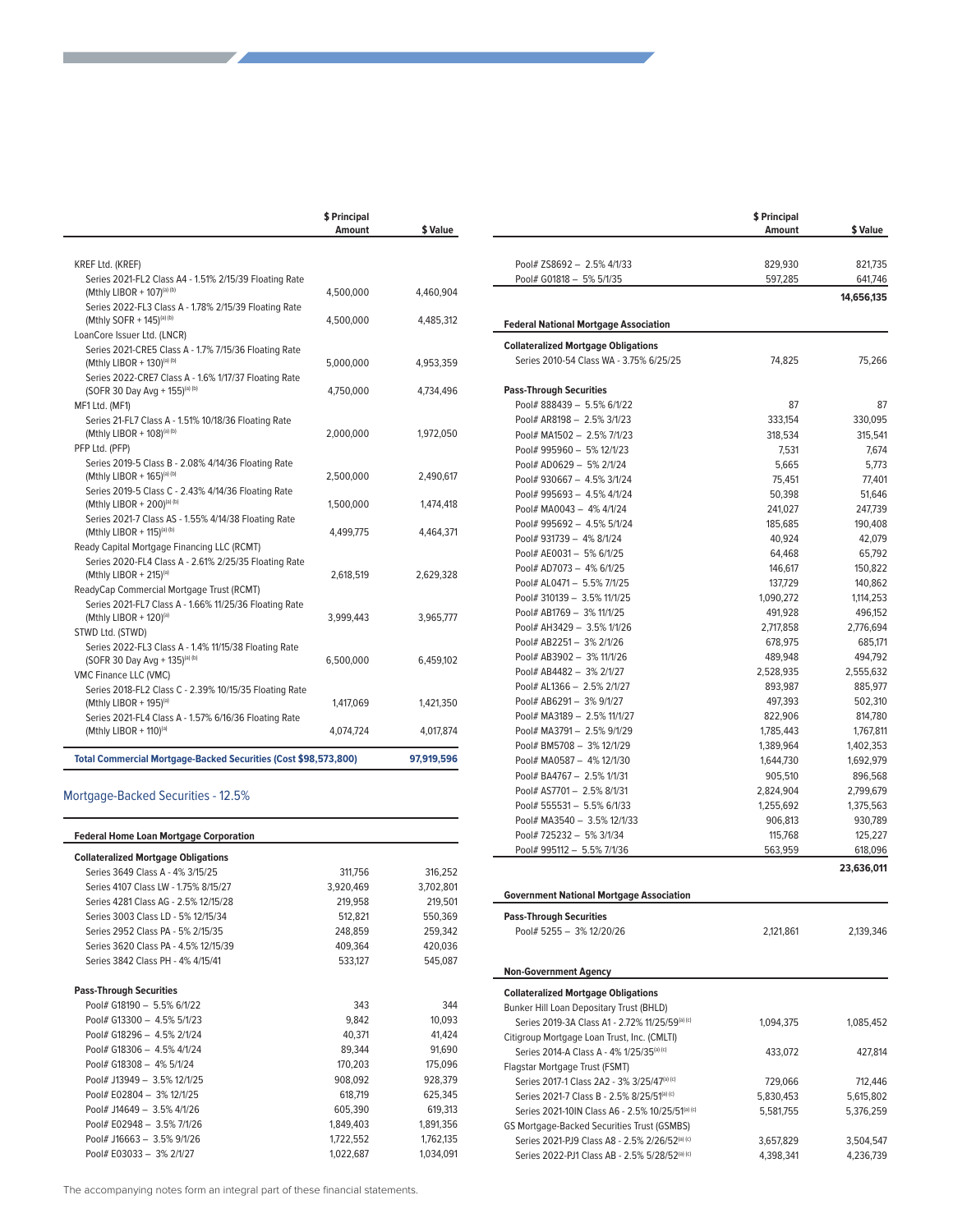|                                                                                                                                            | \$ Principal<br>Amount | \$ Value   |
|--------------------------------------------------------------------------------------------------------------------------------------------|------------------------|------------|
| <b>KREF Ltd. (KREF)</b>                                                                                                                    |                        |            |
| Series 2021-FL2 Class A4 - 1.51% 2/15/39 Floating Rate<br>(Mthly LIBOR + 107)(a) (b)                                                       | 4,500,000              | 4,460,904  |
| Series 2022-FL3 Class A - 1.78% 2/15/39 Floating Rate<br>(Mthly SOFR + 145)(a) (b)                                                         | 4,500,000              | 4,485,312  |
| LoanCore Issuer Ltd. (LNCR)<br>Series 2021-CRE5 Class A - 1.7% 7/15/36 Floating Rate<br>(Mthly LIBOR + 130)(a) (b)                         | 5,000,000              | 4,953,359  |
| Series 2022-CRE7 Class A - 1.6% 1/17/37 Floating Rate<br>(SOFR 30 Day Avg + 155)(a) (b)                                                    | 4,750,000              | 4,734,496  |
| MF1 Ltd. (MF1)<br>Series 21-FL7 Class A - 1.51% 10/18/36 Floating Rate<br>(Mthly LIBOR + 108)(a) (b)                                       | 2,000,000              | 1,972,050  |
| PFP Ltd. (PFP)<br>Series 2019-5 Class B - 2.08% 4/14/36 Floating Rate<br>(Mthly LIBOR + 165)(a) (b)                                        | 2,500,000              | 2,490,617  |
| Series 2019-5 Class C - 2.43% 4/14/36 Floating Rate<br>(Mthly LIBOR + 200)(a) (b)                                                          | 1,500,000              | 1,474,418  |
| Series 2021-7 Class AS - 1.55% 4/14/38 Floating Rate<br>(Mthly LIBOR + 115)(a) (b)                                                         | 4,499,775              | 4,464,371  |
| Ready Capital Mortgage Financing LLC (RCMT)<br>Series 2020-FL4 Class A - 2.61% 2/25/35 Floating Rate<br>(Mthly LIBOR + 215) <sup>(a)</sup> | 2,618,519              | 2,629,328  |
| ReadyCap Commercial Mortgage Trust (RCMT)<br>Series 2021-FL7 Class A - 1.66% 11/25/36 Floating Rate<br>(Mthly LIBOR + 120) <sup>(a)</sup>  | 3,999,443              | 3,965,777  |
| STWD Ltd. (STWD)                                                                                                                           |                        |            |
| Series 2022-FL3 Class A - 1.4% 11/15/38 Floating Rate<br>(SOFR 30 Day Avg + 135)(a) (b)                                                    | 6,500,000              | 6,459,102  |
| VMC Finance LLC (VMC)<br>Series 2018-FL2 Class C - 2.39% 10/15/35 Floating Rate<br>(Mthly LIBOR + 195)(a)                                  | 1,417,069              | 1,421,350  |
| Series 2021-FL4 Class A - 1.57% 6/16/36 Floating Rate<br>(Mthly LIBOR + 110)(a)                                                            | 4,074,724              | 4,017,874  |
| <b>Total Commercial Mortgage-Backed Securities (Cost \$98,573,800)</b>                                                                     |                        | 97,919,596 |

#### Mortgage-Backed Securities - 12.5%

 $\overline{a}$ 

the contract of the contract of the

| <b>Federal Home Loan Mortgage Corporation</b> |           |           |
|-----------------------------------------------|-----------|-----------|
| <b>Collateralized Mortgage Obligations</b>    |           |           |
| Series 3649 Class A - 4% 3/15/25              | 311,756   | 316,252   |
| Series 4107 Class LW - 1.75% 8/15/27          | 3,920,469 | 3,702,801 |
| Series 4281 Class AG - 2.5% 12/15/28          | 219,958   | 219,501   |
| Series 3003 Class LD - 5% 12/15/34            | 512.821   | 550,369   |
| Series 2952 Class PA - 5% 2/15/35             | 248,859   | 259,342   |
| Series 3620 Class PA - 4 5% 12/15/39          | 409.364   | 420,036   |
| Series 3842 Class PH - 4% 4/15/41             | 533.127   | 545,087   |
| <b>Pass-Through Securities</b>                |           |           |
| Pool# G18190 - 5.5% 6/1/22                    | 343       | 344       |
| Pool# G13300 - 4.5% 5/1/23                    | 9,842     | 10,093    |
| Pool# G18296 - 4.5% 2/1/24                    | 40.371    | 41,424    |
| Pool# G18306 - 4.5% 4/1/24                    | 89,344    | 91.690    |
| Pool# G18308 - 4% 5/1/24                      | 170,203   | 175,096   |
| Pool# J13949 - 3.5% 12/1/25                   | 908,092   | 928.379   |
| Pool# E02804 - 3% 12/1/25                     | 618,719   | 625,345   |
| Pool# J14649 - 3.5% 4/1/26                    | 605,390   | 619,313   |
| Pool# E02948 - 3.5% 7/1/26                    | 1,849,403 | 1,891,356 |
| Pool# J16663 - 3.5% 9/1/26                    | 1,722,552 | 1,762,135 |
| Pool# E03033 - 3% 2/1/27                      | 1,022,687 | 1.034.091 |

|                                                           | Amount             | \$ Value           |
|-----------------------------------------------------------|--------------------|--------------------|
|                                                           |                    |                    |
| Pool# ZS8692 - 2.5% 4/1/33                                | 829,930            | 821,735            |
| Pool# G01818 - 5% 5/1/35                                  | 597,285            | 641,746            |
|                                                           |                    | 14,656,135         |
| <b>Federal National Mortgage Association</b>              |                    |                    |
| <b>Collateralized Mortgage Obligations</b>                |                    |                    |
| Series 2010-54 Class WA - 3.75% 6/25/25                   | 74,825             | 75,266             |
| <b>Pass-Through Securities</b>                            |                    |                    |
| Pool# 888439 - 5.5% 6/1/22                                | 87                 | 87                 |
| Pool# AR8198 - 2.5% 3/1/23                                | 333,154            | 330,095            |
| Pool# MA1502 - 2.5% 7/1/23                                | 318,534            | 315,541            |
| Pool# 995960 - 5% 12/1/23                                 | 7,531              | 7,674              |
| Pool# AD0629 - 5% 2/1/24                                  | 5,665              | 5,773              |
| Pool# 930667 - 4.5% 3/1/24                                | 75,451             | 77,401             |
| Pool# 995693 - 4.5% 4/1/24                                | 50,398             | 51,646             |
| Pool# MA0043 - 4% 4/1/24                                  | 241,027            | 247,739            |
| Pool# 995692 - 4.5% 5/1/24                                | 185,685            | 190,408            |
| Pool# 931739 - 4% 8/1/24                                  | 40,924             | 42,079             |
| Pool# AE0031 - 5% 6/1/25                                  | 64,468             | 65,792             |
| Pool# AD7073 - 4% 6/1/25                                  | 146,617            | 150,822            |
| Pool# AL0471 - 5.5% 7/1/25                                | 137,729            | 140,862            |
| Pool# 310139 - 3.5% 11/1/25                               | 1,090,272          | 1,114,253          |
| Pool# AB1769 - 3% 11/1/25                                 | 491,928            | 496,152            |
| Pool# AH3429 - 3.5% 1/1/26                                | 2,717,858          | 2,776,694          |
| Pool# AB2251- 3% 2/1/26                                   | 678,975            | 685,171            |
| Pool# AB3902 - 3% 11/1/26                                 | 489,948            | 494,792            |
| Pool# AB4482 - 3% 2/1/27                                  | 2,528,935          | 2,555,632          |
| Pool# AL1366 - 2.5% 2/1/27                                | 893,987            | 885,977            |
| Pool# AB6291- 3% 9/1/27                                   | 497,393            | 502,310            |
| Pool# MA3189 - 2.5% 11/1/27                               | 822,906            | 814,780            |
| Pool# MA3791 - 2.5% 9/1/29                                | 1,785,443          | 1,767,811          |
| Pool# BM5708 - 3% 12/1/29                                 | 1,389,964          | 1,402,353          |
| Pool# MA0587 - 4% 12/1/30                                 | 1,644,730          | 1,692,979          |
| Pool# BA4767 - 2.5% 1/1/31                                | 905,510            | 896,568            |
| Pool# AS7701- 2.5% 8/1/31                                 |                    |                    |
|                                                           | 2,824,904          | 2,799,679          |
| Pool# 555531 - 5.5% 6/1/33<br>Pool# MA3540 - 3.5% 12/1/33 | 1,255,692          | 1,375,563          |
|                                                           | 906,813            | 930,789            |
| Pool# 725232 - 5% 3/1/34<br>Pool# 995112 - 5.5% 7/1/36    | 115,768<br>563,959 | 125,227<br>618,096 |
|                                                           |                    | 23,636,011         |
| <b>Government National Mortgage Association</b>           |                    |                    |
| <b>Pass-Through Securities</b>                            |                    |                    |
| Pool# 5255 - 3% 12/20/26                                  | 2,121,861          | 2,139,346          |
|                                                           |                    |                    |
| <b>Non-Government Agency</b>                              |                    |                    |
| <b>Collateralized Mortgage Obligations</b>                |                    |                    |
| Bunker Hill Loan Depositary Trust (BHLD)                  |                    |                    |
| Series 2019-3A Class A1 - 2.72% 11/25/59(a) (c)           | 1,094,375          | 1,085,452          |
| Citigroup Mortgage Loan Trust, Inc. (CMLTI)               |                    |                    |
| Corios 2014 A Class A $A^{0/17}E^{(a)(c)}$                | 122022             | $A$ 2701 $A$       |

**\$ Principal** 

| Series 2014-A Class A - 4% 1/25/35(a) (c)               | 433.072   | 427.814   |
|---------------------------------------------------------|-----------|-----------|
| Flagstar Mortgage Trust (FSMT)                          |           |           |
| Series 2017-1 Class 2A2 - 3% 3/25/47 <sup>(a) (c)</sup> | 729.066   | 712,446   |
| Series 2021-7 Class B - 2.5% 8/25/51(a) (c)             | 5.830.453 | 5.615.802 |
| Series 2021-10IN Class A6 - 2.5% 10/25/51(a) (c)        | 5.581.755 | 5.376.259 |
| <b>GS Mortgage-Backed Securities Trust (GSMBS)</b>      |           |           |
| Series 2021-PJ9 Class A8 - 2.5% 2/26/52(a) (c)          | 3,657,829 | 3.504.547 |
| Series 2022-PJ1 Class AB - 2.5% 5/28/52(a) (c)          | 4.398.341 | 4.236.739 |
|                                                         |           |           |